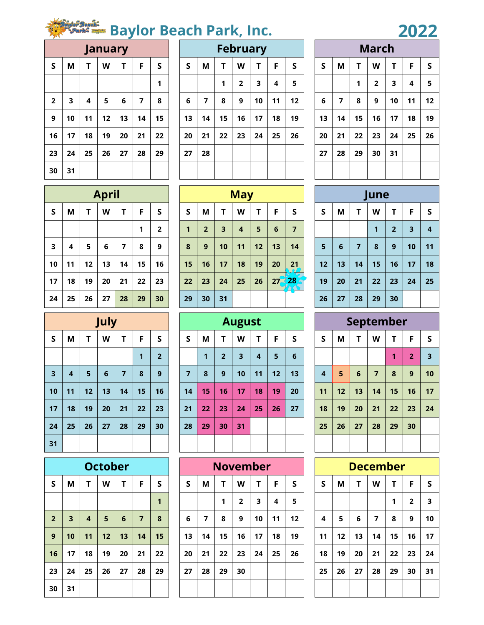## **Baylor Beach Park, Inc.**

| January                 |    |    |    |    |    |    |  |  |  |  |  |  |  |  |
|-------------------------|----|----|----|----|----|----|--|--|--|--|--|--|--|--|
| $\mathsf S$             | M  | T  | W  | T  | F  | S  |  |  |  |  |  |  |  |  |
|                         |    |    |    |    |    | 1  |  |  |  |  |  |  |  |  |
| $\overline{\mathbf{2}}$ | 3  | 4  | 5  | 6  | 7  | 8  |  |  |  |  |  |  |  |  |
| 9                       | 10 | 11 | 12 | 13 | 14 | 15 |  |  |  |  |  |  |  |  |
| 16                      | 17 | 18 | 19 | 20 | 21 | 22 |  |  |  |  |  |  |  |  |
| 23                      | 24 | 25 | 26 | 27 | 28 | 29 |  |  |  |  |  |  |  |  |
| 30                      | 31 |    |    |    |    |    |  |  |  |  |  |  |  |  |

|                |    |    | <b>January</b> |    |    |    |                                   |    |    |                | <b>February</b> |    |    |    |    |    | <b>March</b>   |    |    |    |
|----------------|----|----|----------------|----|----|----|-----------------------------------|----|----|----------------|-----------------|----|----|----|----|----|----------------|----|----|----|
| $\mathsf S$    | Μ  |    | W              | т  | F  | S  | F<br>M<br>W<br>Τ<br><b>S</b><br>S |    |    |                |                 |    |    | S  | M  | T  | W              |    | F  | S  |
|                |    |    |                |    |    | 1  |                                   |    | 1  | $\overline{2}$ | 3               | 4  | 5  |    |    | 1  | $\overline{2}$ | 3  | 4  | 5  |
| $\overline{2}$ | 3  | 4  | 5              | 6  | 7  | 8  | 6                                 | 7  | 8  | 9              | 10              | 11 | 12 | 6  | 7  | 8  | 9              | 10 | 11 | 12 |
| 9              | 10 | 11 | 12             | 13 | 14 | 15 | 13                                | 14 | 15 | 16             | 17              | 18 | 19 | 13 | 14 | 15 | 16             | 17 | 18 | 19 |
| 16             | 17 | 18 | 19             | 20 | 21 | 22 | 20                                | 21 | 22 | 23             | 24              | 25 | 26 | 20 | 21 | 22 | 23             | 24 | 25 | 26 |
| 23             | 24 | 25 | 26             | 27 | 28 | 29 | 27                                | 28 |    |                |                 |    |    | 27 | 28 | 29 | 30             | 31 |    |    |
| 30             | 31 |    |                |    |    |    |                                   |    |    |                |                 |    |    |    |    |    |                |    |    |    |

|         |                         |    |                         |    |    | 2022 |  |  |  |  |  |  |  |  |  |
|---------|-------------------------|----|-------------------------|----|----|------|--|--|--|--|--|--|--|--|--|
|         | <b>March</b>            |    |                         |    |    |      |  |  |  |  |  |  |  |  |  |
| $\sf S$ | M                       | T  | W                       | T  | F  | S    |  |  |  |  |  |  |  |  |  |
|         |                         | 1  | $\overline{\mathbf{2}}$ | 3  | 4  | 5    |  |  |  |  |  |  |  |  |  |
| 6       | $\overline{\mathbf{z}}$ | 8  | 9                       | 10 | 11 | 12   |  |  |  |  |  |  |  |  |  |
| 13      | 14                      | 15 | 16                      | 17 | 18 | 19   |  |  |  |  |  |  |  |  |  |
| 20      | 21                      | 22 | 23                      | 24 | 25 | 26   |  |  |  |  |  |  |  |  |  |
| 27      | 28                      | 29 | 30                      | 31 |    |      |  |  |  |  |  |  |  |  |  |
|         |                         |    |                         |    |    |      |  |  |  |  |  |  |  |  |  |

|              | April |    |    |                         |    |                         |  |  |  |  |  |  |  |  |  |
|--------------|-------|----|----|-------------------------|----|-------------------------|--|--|--|--|--|--|--|--|--|
| $\mathsf{s}$ | M     | T  | W  | T                       | F  | S                       |  |  |  |  |  |  |  |  |  |
|              |       |    |    |                         | 1  | $\overline{\mathbf{2}}$ |  |  |  |  |  |  |  |  |  |
| 3            | 4     | 5  | 6  | $\overline{\mathbf{z}}$ | 8  | 9                       |  |  |  |  |  |  |  |  |  |
| 10           | 11    | 12 | 13 | 14                      | 15 | 16                      |  |  |  |  |  |  |  |  |  |
| 17           | 18    | 19 | 20 | 21                      | 22 | 23                      |  |  |  |  |  |  |  |  |  |
| 24           | 25    | 26 | 27 | 28                      | 29 | 30                      |  |  |  |  |  |  |  |  |  |

|    |    |    | <b>April</b> |    |    |                |  |    |                |    | <b>May</b> |    |           |                |    |    |    | June |                |    |                |
|----|----|----|--------------|----|----|----------------|--|----|----------------|----|------------|----|-----------|----------------|----|----|----|------|----------------|----|----------------|
| S  | M  |    | W            | Τ  | F  | S              |  | S  | M              |    | W          | T  | F         | <b>S</b>       | S  | M  | Τ  | W    |                | F  | <b>S</b>       |
|    |    |    |              |    | 1  | $\overline{2}$ |  | 1  | $\overline{2}$ | 3  | 4          | 5  | 6         | $\overline{7}$ |    |    |    | 1    | 2 <sup>2</sup> | 3  | $\overline{4}$ |
| 3  | 4  | 5  | 6            | 7  | 8  | 9              |  | 8  | 9              | 10 | 11         | 12 | 13        | 14             | 5  | 6  | 7  | 8    | 9              | 10 | 11             |
| 10 | 11 | 12 | 13           | 14 | 15 | 16             |  | 15 | 16             | 17 | 18         | 19 | 20        | 21             | 12 | 13 | 14 | 15   | 16             | 17 | 18             |
| 17 | 18 | 19 | 20           | 21 | 22 | 23             |  | 22 | 23             | 24 | 25         | 26 | $27 - 28$ | 9.             | 19 | 20 | 21 | 22   | 23             | 24 | 25             |
| 24 | 25 | 26 | 27           | 28 | 29 | 30             |  | 29 | 30             | 31 |            |    |           |                | 26 | 27 | 28 | 29   | 30             |    |                |

|         | une |                |    |                |                         |             |  |  |  |  |  |  |  |  |  |
|---------|-----|----------------|----|----------------|-------------------------|-------------|--|--|--|--|--|--|--|--|--|
| $\sf S$ | M   | T              | W  | T              | F                       | $\mathsf S$ |  |  |  |  |  |  |  |  |  |
|         |     |                | 1  | $\overline{2}$ | $\overline{\mathbf{3}}$ | 4           |  |  |  |  |  |  |  |  |  |
| 5       | 6   | $\overline{7}$ | 8  | 9              | 10                      | 11          |  |  |  |  |  |  |  |  |  |
| 12      | 13  | 14             | 15 | 16             | 17                      | 18          |  |  |  |  |  |  |  |  |  |
| 19      | 20  | 21             | 22 | 23             | 24                      | 25          |  |  |  |  |  |  |  |  |  |
| 26      | 27  | 28             | 29 | 30             |                         |             |  |  |  |  |  |  |  |  |  |

| September               |    |                 |                |    |                |    |  |  |  |  |  |  |  |  |
|-------------------------|----|-----------------|----------------|----|----------------|----|--|--|--|--|--|--|--|--|
| S                       | M  | т               | W              | T  | F              | S  |  |  |  |  |  |  |  |  |
|                         |    |                 |                | 1  | $\overline{2}$ | 3  |  |  |  |  |  |  |  |  |
| $\overline{\mathbf{4}}$ | 5  | $6\phantom{1}6$ | $\overline{7}$ | 8  | 9              | 10 |  |  |  |  |  |  |  |  |
| 11                      | 12 | 13              | 14             | 15 | 16             | 17 |  |  |  |  |  |  |  |  |
| 18                      | 19 | 20              | 21             | 22 | 23             | 24 |  |  |  |  |  |  |  |  |
| 25                      | 26 | 27              | 28             | 29 | 30             |    |  |  |  |  |  |  |  |  |
|                         |    |                 |                |    |                |    |  |  |  |  |  |  |  |  |

| <b>December</b> |    |    |    |    |                         |    |  |  |  |  |  |  |  |  |
|-----------------|----|----|----|----|-------------------------|----|--|--|--|--|--|--|--|--|
| $\sf S$         | M  | T  | W  | T  | F                       | S  |  |  |  |  |  |  |  |  |
|                 |    |    |    | 1  | $\overline{\mathbf{2}}$ | 3  |  |  |  |  |  |  |  |  |
| 4               | 5  | 6  | 7  | 8  | 9                       | 10 |  |  |  |  |  |  |  |  |
| 11              | 12 | 13 | 14 | 15 | 16                      | 17 |  |  |  |  |  |  |  |  |
| 18              | 19 | 20 | 21 | 22 | 23                      | 24 |  |  |  |  |  |  |  |  |
| 25              | 26 | 27 | 28 | 29 | 30                      | 31 |  |  |  |  |  |  |  |  |
|                 |    |    |    |    |                         |    |  |  |  |  |  |  |  |  |

|                         | July                    |    |    |                |    |                |  |  |  |  |  |  |  |  |  |
|-------------------------|-------------------------|----|----|----------------|----|----------------|--|--|--|--|--|--|--|--|--|
| $\sf S$                 | M                       | T  | W  | T              | F  | S              |  |  |  |  |  |  |  |  |  |
|                         |                         |    |    |                | 1  | $\overline{2}$ |  |  |  |  |  |  |  |  |  |
| $\overline{\mathbf{3}}$ | $\overline{\mathbf{4}}$ | 5  | 6  | $\overline{7}$ | 8  | 9              |  |  |  |  |  |  |  |  |  |
| 10                      | 11                      | 12 | 13 | 14             | 15 | 16             |  |  |  |  |  |  |  |  |  |
| 17                      | 18                      | 19 | 20 | 21             | 22 | 23             |  |  |  |  |  |  |  |  |  |
| 24                      | 25                      | 26 | 27 | 28             | 29 | 30             |  |  |  |  |  |  |  |  |  |
| 31                      |                         |    |    |                |    |                |  |  |  |  |  |  |  |  |  |

|                         | <b>October</b>          |                         |    |    |                |    |  |  |  |  |  |  |  |  |  |
|-------------------------|-------------------------|-------------------------|----|----|----------------|----|--|--|--|--|--|--|--|--|--|
| $\sf S$                 | Μ                       | Τ                       | W  | T  | F              | S  |  |  |  |  |  |  |  |  |  |
|                         |                         |                         |    |    |                | 1  |  |  |  |  |  |  |  |  |  |
| $\overline{\mathbf{2}}$ | $\overline{\mathbf{3}}$ | $\overline{\mathbf{4}}$ | 5  | 6  | $\overline{7}$ | 8  |  |  |  |  |  |  |  |  |  |
| $\mathbf{9}$            | 10                      | 11                      | 12 | 13 | 14             | 15 |  |  |  |  |  |  |  |  |  |
| 16                      | 17                      | 18                      | 19 | 20 | 21             | 22 |  |  |  |  |  |  |  |  |  |
| 23                      | 24                      | 25                      | 26 | 27 | 28             | 29 |  |  |  |  |  |  |  |  |  |
| 30                      | 31                      |                         |    |    |                |    |  |  |  |  |  |  |  |  |  |

|                         | July                    |    |    |                |    |                |    |    |                | <b>August</b> |                |    |    |                         |    |    |                | September |                |              |
|-------------------------|-------------------------|----|----|----------------|----|----------------|----|----|----------------|---------------|----------------|----|----|-------------------------|----|----|----------------|-----------|----------------|--------------|
| S                       | M                       |    | W  | Т              | F  | S              | S  | M  |                | W             | Т              | F  | S  | S                       | M  | Т  | W              |           | F              | $\mathsf{S}$ |
|                         |                         |    |    |                | 1  | $\overline{2}$ |    | 1  | $\overline{2}$ | 3             | $\overline{4}$ | 5  | 6  |                         |    |    |                | 1         | $\overline{2}$ | 3            |
| $\overline{\mathbf{3}}$ | $\overline{\mathbf{4}}$ | 5  | 6  | $\overline{7}$ | 8  | 9              | 7  | 8  | 9              | 10            | 11             | 12 | 13 | $\overline{\mathbf{4}}$ | 5  | 6  | $\overline{7}$ | 8         | 9              | 10           |
| 10                      | 11                      | 12 | 13 | 14             | 15 | 16             | 14 | 15 | 16             | 17            | 18             | 19 | 20 | 11                      | 12 | 13 | 14             | 15        | 16             | 17           |
| 17                      | 18                      | 19 | 20 | 21             | 22 | 23             | 21 | 22 | 23             | 24            | 25             | 26 | 27 | 18                      | 19 | 20 | 21             | 22        | 23             | 24           |
| 24                      | 25                      | 26 | 27 | 28             | 29 | 30             | 28 | 29 | 30             | 31            |                |    |    | 25                      | 26 | 27 | 28             | 29        | 30             |              |
| 31                      |                         |    |    |                |    |                |    |    |                |               |                |    |    |                         |    |    |                |           |                |              |

|                |    |    | <b>October</b> |    |    |    |                            |    |    |    | <b>November</b> |    |    |  |    |    |    | <b>December</b> |    |                |    |
|----------------|----|----|----------------|----|----|----|----------------------------|----|----|----|-----------------|----|----|--|----|----|----|-----------------|----|----------------|----|
| S              | М  |    | W              | Т  | F  | S  | M<br>Т<br>F<br>S<br>W<br>S |    |    |    |                 |    |    |  | S  | M  | т  | W               | Т  | F              | S  |
|                |    |    |                |    |    | 1  |                            |    | 1  | 2  | 3               | 4  | 5  |  |    |    |    |                 | 1  | $\overline{2}$ | 3  |
| $\overline{2}$ | 3  | 4  | 5              | 6  | 7  | 8  | 6                          | 7  | 8  | 9  | 10              | 11 | 12 |  | 4  | 5  | 6  | 7               | 8  | 9              | 10 |
| 9              | 10 | 11 | 12             | 13 | 14 | 15 | 13                         | 14 | 15 | 16 | 17              | 18 | 19 |  | 11 | 12 | 13 | 14              | 15 | 16             | 17 |
| 16             | 17 | 18 | 19             | 20 | 21 | 22 | 20                         | 21 | 22 | 23 | 24              | 25 | 26 |  | 18 | 19 | 20 | 21              | 22 | 23             | 24 |
| 23             | 24 | 25 | 26             | 27 | 28 | 29 | 27                         | 28 | 29 | 30 |                 |    |    |  | 25 | 26 | 27 | 28              | 29 | 30             | 31 |
| 30             | 31 |    |                |    |    |    |                            |    |    |    |                 |    |    |  |    |    |    |                 |    |                |    |
|                |    |    |                |    |    |    |                            |    |    |    |                 |    |    |  |    |    |    |                 |    |                |    |